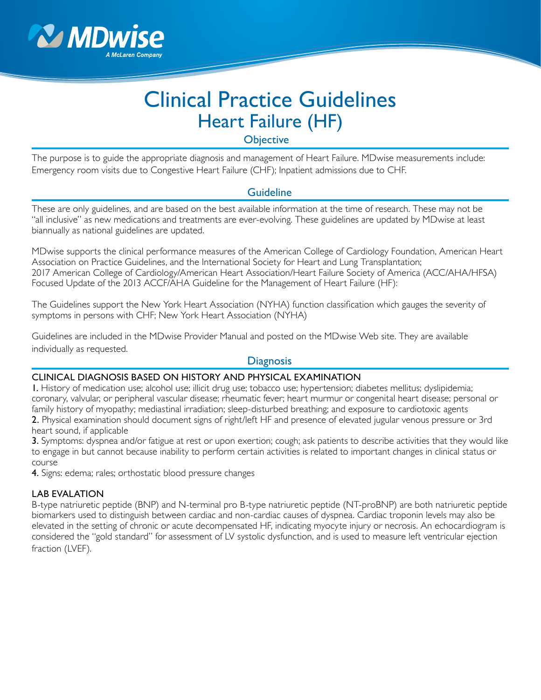

# Clinical Practice Guidelines Heart Failure (HF)

**Objective** 

The purpose is to guide the appropriate diagnosis and management of Heart Failure. MDwise measurements include: Emergency room visits due to Congestive Heart Failure (CHF); Inpatient admissions due to CHF.

## **Guideline**

These are only guidelines, and are based on the best available information at the time of research. These may not be "all inclusive" as new medications and treatments are ever-evolving. These guidelines are updated by MDwise at least biannually as national guidelines are updated.

MDwise supports the clinical performance measures of the American College of Cardiology Foundation, American Heart Association on Practice Guidelines, and the International Society for Heart and Lung Transplantation; 2017 American College of Cardiology/American Heart Association/Heart Failure Society of America (ACC/AHA/HFSA) Focused Update of the 2013 ACCF/AHA Guideline for the Management of Heart Failure (HF):

The Guidelines support the New York Heart Association (NYHA) function classification which gauges the severity of symptoms in persons with CHF; New York Heart Association (NYHA)

Guidelines are included in the MDwise Provider Manual and posted on the MDwise Web site. They are available individually as requested.

## **Diagnosis**

#### CLINICAL DIAGNOSIS BASED ON HISTORY AND PHYSICAL EXAMINATION

1. History of medication use; alcohol use; illicit drug use; tobacco use; hypertension; diabetes mellitus; dyslipidemia; coronary, valvular, or peripheral vascular disease; rheumatic fever; heart murmur or congenital heart disease; personal or family history of myopathy; mediastinal irradiation; sleep-disturbed breathing; and exposure to cardiotoxic agents 2. Physical examination should document signs of right/left HF and presence of elevated jugular venous pressure or 3rd heart sound, if applicable

3. Symptoms: dyspnea and/or fatigue at rest or upon exertion; cough; ask patients to describe activities that they would like to engage in but cannot because inability to perform certain activities is related to important changes in clinical status or course

4. Signs: edema; rales; orthostatic blood pressure changes

#### LAB EVALATION

B-type natriuretic peptide (BNP) and N-terminal pro B-type natriuretic peptide (NT-proBNP) are both natriuretic peptide biomarkers used to distinguish between cardiac and non-cardiac causes of dyspnea. Cardiac troponin levels may also be elevated in the setting of chronic or acute decompensated HF, indicating myocyte injury or necrosis. An echocardiogram is considered the "gold standard" for assessment of LV systolic dysfunction, and is used to measure left ventricular ejection fraction (LVEF).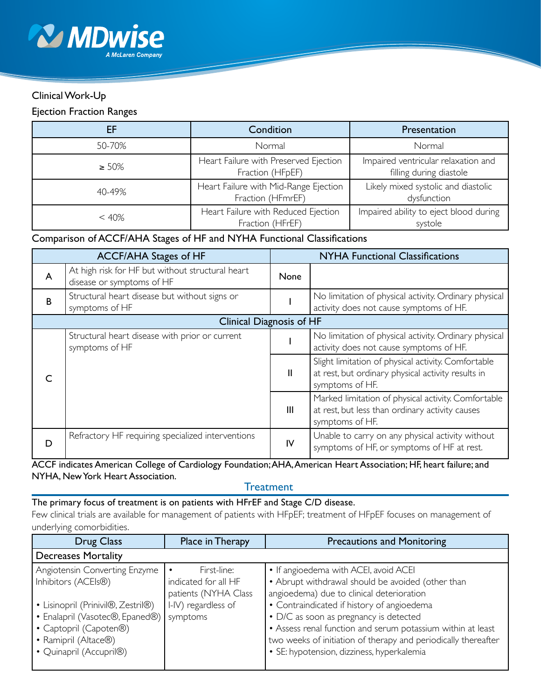

# Clinical Work-Up

#### Ejection Fraction Ranges

| EF          | Condition                                                  | Presentation                                                   |
|-------------|------------------------------------------------------------|----------------------------------------------------------------|
| 50-70%      | Normal                                                     | Normal                                                         |
| $\geq 50\%$ | Heart Failure with Preserved Ejection<br>Fraction (HFpEF)  | Impaired ventricular relaxation and<br>filling during diastole |
| $40 - 49%$  | Heart Failure with Mid-Range Ejection<br>Fraction (HFmrEF) | Likely mixed systolic and diastolic<br>dysfunction             |
| < 40%       | Heart Failure with Reduced Ejection<br>Fraction (HFrEF)    | Impaired ability to eject blood during<br>systole              |

## Comparison of ACCF/AHA Stages of HF and NYHA Functional Classifications

| <b>ACCF/AHA Stages of HF</b> |                                                                               | <b>NYHA Functional Classifications</b> |                                                                                                                              |
|------------------------------|-------------------------------------------------------------------------------|----------------------------------------|------------------------------------------------------------------------------------------------------------------------------|
| A                            | At high risk for HF but without structural heart<br>disease or symptoms of HF | None                                   |                                                                                                                              |
| B                            | Structural heart disease but without signs or<br>symptoms of HF               |                                        | No limitation of physical activity. Ordinary physical<br>activity does not cause symptoms of HF.                             |
| Clinical Diagnosis of HF     |                                                                               |                                        |                                                                                                                              |
|                              | Structural heart disease with prior or current<br>symptoms of HF              |                                        | No limitation of physical activity. Ordinary physical<br>activity does not cause symptoms of HF.                             |
|                              |                                                                               | $\mathbf{I}$                           | Slight limitation of physical activity. Comfortable<br>at rest, but ordinary physical activity results in<br>symptoms of HF. |
|                              |                                                                               | $\mathbf{III}$                         | Marked limitation of physical activity. Comfortable<br>at rest, but less than ordinary activity causes<br>symptoms of HF.    |
| D                            | Refractory HF requiring specialized interventions                             | IV                                     | Unable to carry on any physical activity without<br>symptoms of HF, or symptoms of HF at rest.                               |

#### ACCF indicates American College of Cardiology Foundation; AHA, American Heart Association; HF, heart failure; and NYHA, New York Heart Association.

## **Treatment**

#### The primary focus of treatment is on patients with HFrEF and Stage C/D disease.

Few clinical trials are available for management of patients with HFpEF; treatment of HFpEF focuses on management of underlying comorbidities.

| <b>Drug Class</b>                  | Place in Therapy     | <b>Precautions and Monitoring</b>                              |  |  |
|------------------------------------|----------------------|----------------------------------------------------------------|--|--|
| <b>Decreases Mortality</b>         |                      |                                                                |  |  |
| Angiotensin Converting Enzyme      | First-line:          | • If angioedema with ACEI, avoid ACEI                          |  |  |
| Inhibitors (ACEIs®)                | indicated for all HF | • Abrupt withdrawal should be avoided (other than              |  |  |
|                                    | patients (NYHA Class | angioedema) due to clinical deterioration                      |  |  |
| • Lisinopril (Prinivil®, Zestril®) | I-IV) regardless of  | • Contraindicated if history of angioedema                     |  |  |
| • Enalapril (Vasotec®, Epaned®)    | symptoms             | • D/C as soon as pregnancy is detected                         |  |  |
| • Captopril (Capoten®)             |                      | • Assess renal function and serum potassium within at least    |  |  |
| • Ramipril (Altace®)               |                      | two weeks of initiation of therapy and periodically thereafter |  |  |
| • Quinapril (Accupril®)            |                      | · SE: hypotension, dizziness, hyperkalemia                     |  |  |
|                                    |                      |                                                                |  |  |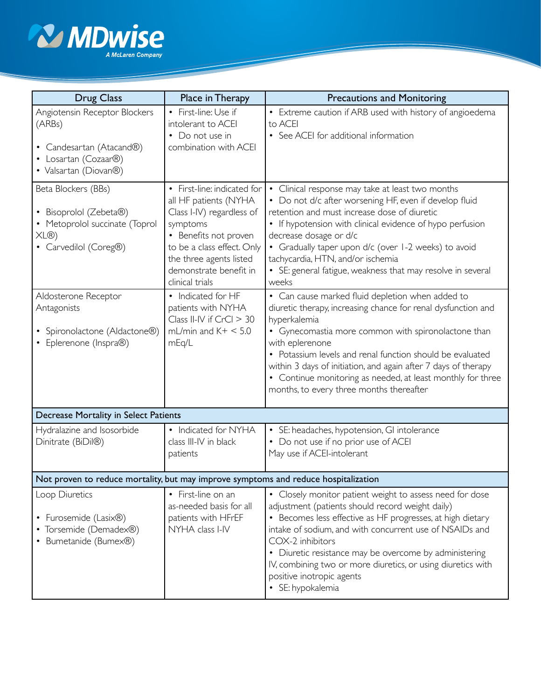

| <b>Drug Class</b>                                                                                                                       | Place in Therapy                                                                                                                                                                                                                                   | <b>Precautions and Monitoring</b>                                                                                                                                                                                                                                                                                                                                                                                                                                                   |  |  |
|-----------------------------------------------------------------------------------------------------------------------------------------|----------------------------------------------------------------------------------------------------------------------------------------------------------------------------------------------------------------------------------------------------|-------------------------------------------------------------------------------------------------------------------------------------------------------------------------------------------------------------------------------------------------------------------------------------------------------------------------------------------------------------------------------------------------------------------------------------------------------------------------------------|--|--|
| Angiotensin Receptor Blockers<br>(ARBs)<br>• Candesartan (Atacand®)<br>• Losartan (Cozaar®)<br>• Valsartan (Diovan®)                    | • First-line: Use if<br>intolerant to ACEI<br>• Do not use in<br>combination with ACEI                                                                                                                                                             | • Extreme caution if ARB used with history of angioedema<br>to ACEI<br>• See ACEI for additional information                                                                                                                                                                                                                                                                                                                                                                        |  |  |
| Beta Blockers (BBs)<br>• Bisoprolol (Zebeta®)<br>• Metoprolol succinate (Toprol<br>XL@<br>• Carvedilol (Coreg®)<br>Aldosterone Receptor | • First-line: indicated for<br>all HF patients (NYHA<br>Class I-IV) regardless of<br>symptoms<br>• Benefits not proven<br>to be a class effect. Only<br>the three agents listed<br>demonstrate benefit in<br>clinical trials<br>• Indicated for HF | Clinical response may take at least two months<br>• Do not d/c after worsening HF, even if develop fluid<br>retention and must increase dose of diuretic<br>• If hypotension with clinical evidence of hypo perfusion<br>decrease dosage or d/c<br>Gradually taper upon d/c (over 1-2 weeks) to avoid<br>$\bullet$<br>tachycardia, HTN, and/or ischemia<br>• SE: general fatigue, weakness that may resolve in several<br>weeks<br>• Can cause marked fluid depletion when added to |  |  |
| Antagonists<br>• Spironolactone (Aldactone®)<br>• Eplerenone (Inspra®)                                                                  | patients with NYHA<br>Class II-IV if $CrCl > 30$<br>mL/min and $K + < 5.0$<br>mEq/L                                                                                                                                                                | diuretic therapy, increasing chance for renal dysfunction and<br>hyperkalemia<br>Gynecomastia more common with spironolactone than<br>with eplerenone<br>• Potassium levels and renal function should be evaluated<br>within 3 days of initiation, and again after 7 days of therapy<br>• Continue monitoring as needed, at least monthly for three<br>months, to every three months thereafter                                                                                     |  |  |
| Decrease Mortality in Select Patients                                                                                                   |                                                                                                                                                                                                                                                    |                                                                                                                                                                                                                                                                                                                                                                                                                                                                                     |  |  |
| Hydralazine and Isosorbide<br>Dinitrate (BiDil®)                                                                                        | • Indicated for NYHA<br>class III-IV in black<br>patients                                                                                                                                                                                          | • SE: headaches, hypotension, GI intolerance<br>• Do not use if no prior use of ACEI<br>May use if ACEI-intolerant                                                                                                                                                                                                                                                                                                                                                                  |  |  |
| Not proven to reduce mortality, but may improve symptoms and reduce hospitalization                                                     |                                                                                                                                                                                                                                                    |                                                                                                                                                                                                                                                                                                                                                                                                                                                                                     |  |  |
| Loop Diuretics<br>• Furosemide (Lasix <sup>®)</sup><br>• Torsemide (Demadex®)<br>• Bumetanide (Bumex®)                                  | • First-line on an<br>as-needed basis for all<br>patients with HFrEF<br>NYHA class I-IV                                                                                                                                                            | • Closely monitor patient weight to assess need for dose<br>adjustment (patients should record weight daily)<br>• Becomes less effective as HF progresses, at high dietary<br>intake of sodium, and with concurrent use of NSAIDs and<br>COX-2 inhibitors<br>• Diuretic resistance may be overcome by administering<br>IV, combining two or more diuretics, or using diuretics with<br>positive inotropic agents<br>· SE: hypokalemia                                               |  |  |